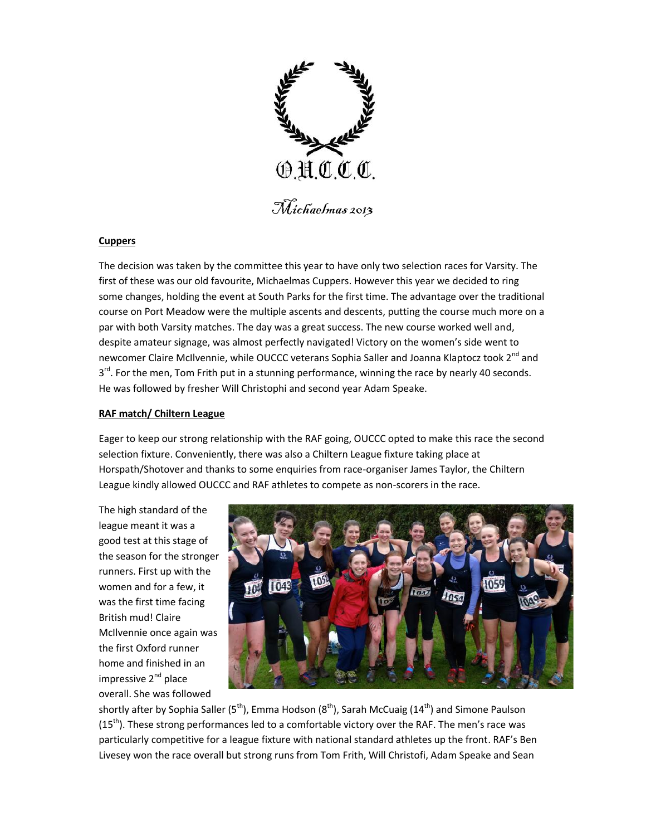

Michaelmas 2013

## **Cuppers**

The decision was taken by the committee this year to have only two selection races for Varsity. The first of these was our old favourite, Michaelmas Cuppers. However this year we decided to ring some changes, holding the event at South Parks for the first time. The advantage over the traditional course on Port Meadow were the multiple ascents and descents, putting the course much more on a par with both Varsity matches. The day was a great success. The new course worked well and, despite amateur signage, was almost perfectly navigated! Victory on the women's side went to newcomer Claire McIlvennie, while OUCCC veterans Sophia Saller and Joanna Klaptocz took 2<sup>nd</sup> and 3<sup>rd</sup>. For the men, Tom Frith put in a stunning performance, winning the race by nearly 40 seconds. He was followed by fresher Will Christophi and second year Adam Speake.

## **RAF match/ Chiltern League**

Eager to keep our strong relationship with the RAF going, OUCCC opted to make this race the second selection fixture. Conveniently, there was also a Chiltern League fixture taking place at Horspath/Shotover and thanks to some enquiries from race-organiser James Taylor, the Chiltern League kindly allowed OUCCC and RAF athletes to compete as non-scorers in the race.

The high standard of the league meant it was a good test at this stage of the season for the stronger runners. First up with the women and for a few, it was the first time facing British mud! Claire McIlvennie once again was the first Oxford runner home and finished in an impressive  $2^{nd}$  place overall. She was followed



shortly after by Sophia Saller (5<sup>th</sup>), Emma Hodson (8<sup>th</sup>), Sarah McCuaig (14<sup>th</sup>) and Simone Paulson  $(15<sup>th</sup>)$ . These strong performances led to a comfortable victory over the RAF. The men's race was particularly competitive for a league fixture with national standard athletes up the front. RAF's Ben Livesey won the race overall but strong runs from Tom Frith, Will Christofi, Adam Speake and Sean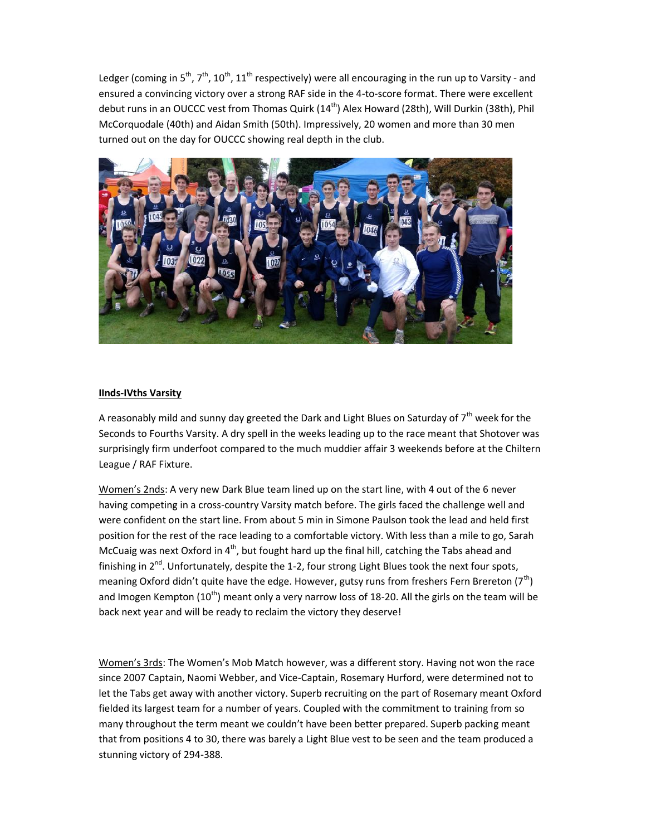Ledger (coming in 5<sup>th</sup>, 7<sup>th</sup>, 10<sup>th</sup>, 11<sup>th</sup> respectively) were all encouraging in the run up to Varsity - and ensured a convincing victory over a strong RAF side in the 4-to-score format. There were excellent debut runs in an OUCCC vest from Thomas Quirk (14<sup>th</sup>) Alex Howard (28th), Will Durkin (38th), Phil McCorquodale (40th) and Aidan Smith (50th). Impressively, 20 women and more than 30 men turned out on the day for OUCCC showing real depth in the club.



## **IInds-IVths Varsity**

A reasonably mild and sunny day greeted the Dark and Light Blues on Saturday of  $7<sup>th</sup>$  week for the Seconds to Fourths Varsity. A dry spell in the weeks leading up to the race meant that Shotover was surprisingly firm underfoot compared to the much muddier affair 3 weekends before at the Chiltern League / RAF Fixture.

Women's 2nds: A very new Dark Blue team lined up on the start line, with 4 out of the 6 never having competing in a cross-country Varsity match before. The girls faced the challenge well and were confident on the start line. From about 5 min in Simone Paulson took the lead and held first position for the rest of the race leading to a comfortable victory. With less than a mile to go, Sarah McCuaig was next Oxford in  $4<sup>th</sup>$ , but fought hard up the final hill, catching the Tabs ahead and finishing in  $2^{nd}$ . Unfortunately, despite the 1-2, four strong Light Blues took the next four spots, meaning Oxford didn't quite have the edge. However, gutsy runs from freshers Fern Brereton (7<sup>th</sup>) and Imogen Kempton (10<sup>th</sup>) meant only a very narrow loss of 18-20. All the girls on the team will be back next year and will be ready to reclaim the victory they deserve!

Women's 3rds: The Women's Mob Match however, was a different story. Having not won the race since 2007 Captain, Naomi Webber, and Vice-Captain, Rosemary Hurford, were determined not to let the Tabs get away with another victory. Superb recruiting on the part of Rosemary meant Oxford fielded its largest team for a number of years. Coupled with the commitment to training from so many throughout the term meant we couldn't have been better prepared. Superb packing meant that from positions 4 to 30, there was barely a Light Blue vest to be seen and the team produced a stunning victory of 294-388.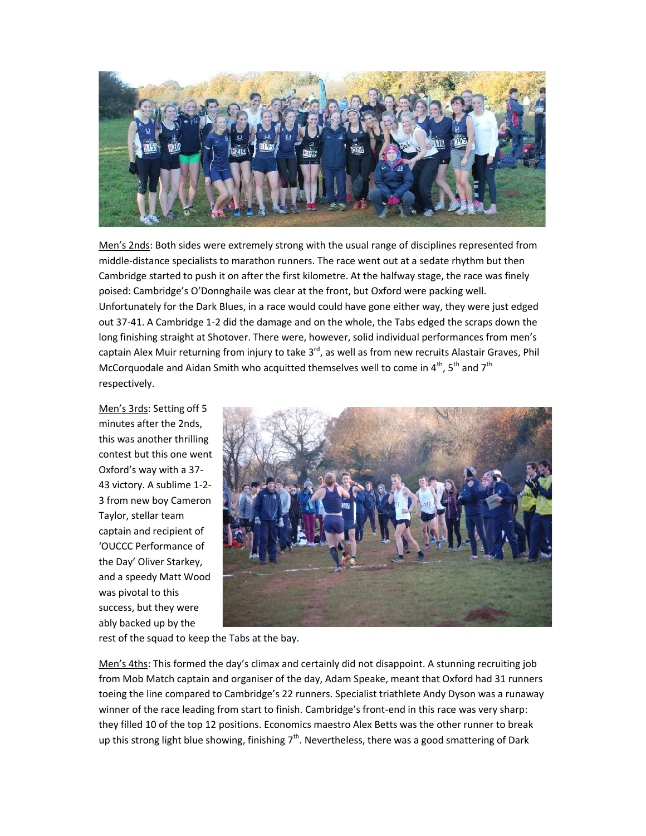

Men's 2nds: Both sides were extremely strong with the usual range of disciplines represented from middle-distance specialists to marathon runners. The race went out at a sedate rhythm but then Cambridge started to push it on after the first kilometre. At the halfway stage, the race was finely poised: Cambridge's O'Donnghaile was clear at the front, but Oxford were packing well. Unfortunately for the Dark Blues, in a race would could have gone either way, they were just edged out 37-41. A Cambridge 1-2 did the damage and on the whole, the Tabs edged the scraps down the long finishing straight at Shotover. There were, however, solid individual performances from men's captain Alex Muir returning from injury to take 3<sup>rd</sup>, as well as from new recruits Alastair Graves, Phil McCorquodale and Aidan Smith who acquitted themselves well to come in  $4<sup>th</sup>$ , 5<sup>th</sup> and 7<sup>th</sup> respectively.

Men's 3rds: Setting off 5 minutes after the 2nds, this was another thrilling contest but this one went Oxford's way with a 37- 43 victory. A sublime 1-2- 3 from new boy Cameron Taylor, stellar team captain and recipient of 'OUCCC Performance of the Day' Oliver Starkey, and a speedy Matt Wood was pivotal to this success, but they were ably backed up by the



rest of the squad to keep the Tabs at the bay.

Men's 4ths: This formed the day's climax and certainly did not disappoint. A stunning recruiting job from Mob Match captain and organiser of the day, Adam Speake, meant that Oxford had 31 runners toeing the line compared to Cambridge's 22 runners. Specialist triathlete Andy Dyson was a runaway winner of the race leading from start to finish. Cambridge's front-end in this race was very sharp: they filled 10 of the top 12 positions. Economics maestro Alex Betts was the other runner to break up this strong light blue showing, finishing  $7<sup>th</sup>$ . Nevertheless, there was a good smattering of Dark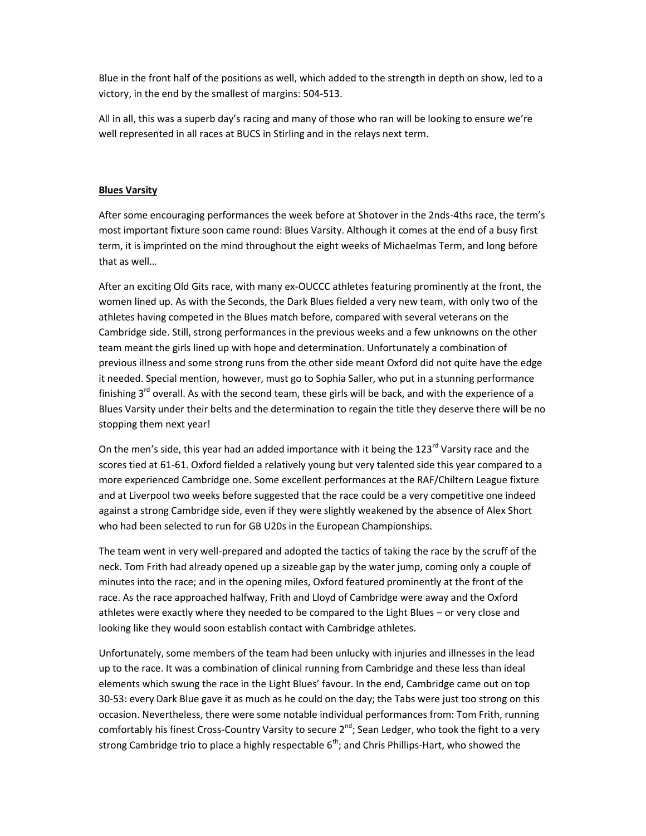Blue in the front half of the positions as well, which added to the strength in depth on show, led to a victory, in the end by the smallest of margins: 504-513.

All in all, this was a superb day's racing and many of those who ran will be looking to ensure we're well represented in all races at BUCS in Stirling and in the relays next term.

## **Blues Varsity**

After some encouraging performances the week before at Shotover in the 2nds-4ths race, the term's most important fixture soon came round: Blues Varsity. Although it comes at the end of a busy first term, it is imprinted on the mind throughout the eight weeks of Michaelmas Term, and long before that as well…

After an exciting Old Gits race, with many ex-OUCCC athletes featuring prominently at the front, the women lined up. As with the Seconds, the Dark Blues fielded a very new team, with only two of the athletes having competed in the Blues match before, compared with several veterans on the Cambridge side. Still, strong performances in the previous weeks and a few unknowns on the other team meant the girls lined up with hope and determination. Unfortunately a combination of previous illness and some strong runs from the other side meant Oxford did not quite have the edge it needed. Special mention, however, must go to Sophia Saller, who put in a stunning performance finishing 3<sup>rd</sup> overall. As with the second team, these girls will be back, and with the experience of a Blues Varsity under their belts and the determination to regain the title they deserve there will be no stopping them next year!

On the men's side, this year had an added importance with it being the  $123<sup>rd</sup>$  Varsity race and the scores tied at 61-61. Oxford fielded a relatively young but very talented side this year compared to a more experienced Cambridge one. Some excellent performances at the RAF/Chiltern League fixture and at Liverpool two weeks before suggested that the race could be a very competitive one indeed against a strong Cambridge side, even if they were slightly weakened by the absence of Alex Short who had been selected to run for GB U20s in the European Championships.

The team went in very well-prepared and adopted the tactics of taking the race by the scruff of the neck. Tom Frith had already opened up a sizeable gap by the water jump, coming only a couple of minutes into the race; and in the opening miles, Oxford featured prominently at the front of the race. As the race approached halfway, Frith and Lloyd of Cambridge were away and the Oxford athletes were exactly where they needed to be compared to the Light Blues – or very close and looking like they would soon establish contact with Cambridge athletes.

Unfortunately, some members of the team had been unlucky with injuries and illnesses in the lead up to the race. It was a combination of clinical running from Cambridge and these less than ideal elements which swung the race in the Light Blues' favour. In the end, Cambridge came out on top 30-53: every Dark Blue gave it as much as he could on the day; the Tabs were just too strong on this occasion. Nevertheless, there were some notable individual performances from: Tom Frith, running comfortably his finest Cross-Country Varsity to secure  $2<sup>nd</sup>$ ; Sean Ledger, who took the fight to a very strong Cambridge trio to place a highly respectable  $6<sup>th</sup>$ ; and Chris Phillips-Hart, who showed the